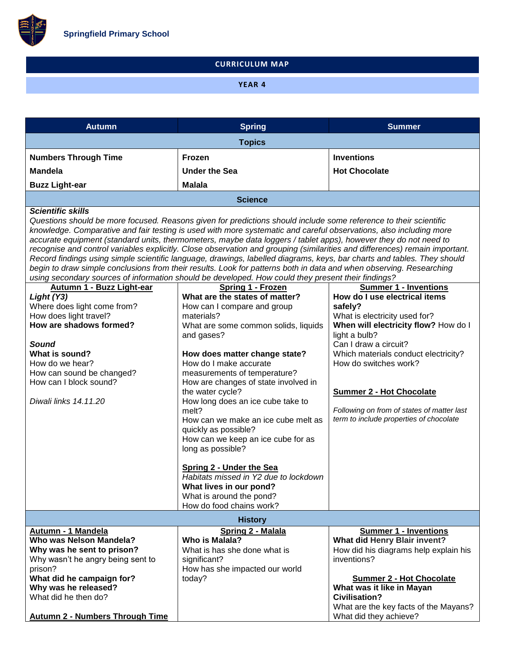

## **CURRICULUM MAP**

# **YEAR 4**

| <b>Autumn</b>                                                                                                                                                                                                                                                                                                                                                                                                                                                                                                                                                                                                                                                                                                                                                                                                                                                                  | <b>Spring</b>                                                                                                                                                                                                                                                                                                                                                                                                                                                                                                                                                                                       | <b>Summer</b>                                                                                                                                                                                                                                                                                                                                            |  |
|--------------------------------------------------------------------------------------------------------------------------------------------------------------------------------------------------------------------------------------------------------------------------------------------------------------------------------------------------------------------------------------------------------------------------------------------------------------------------------------------------------------------------------------------------------------------------------------------------------------------------------------------------------------------------------------------------------------------------------------------------------------------------------------------------------------------------------------------------------------------------------|-----------------------------------------------------------------------------------------------------------------------------------------------------------------------------------------------------------------------------------------------------------------------------------------------------------------------------------------------------------------------------------------------------------------------------------------------------------------------------------------------------------------------------------------------------------------------------------------------------|----------------------------------------------------------------------------------------------------------------------------------------------------------------------------------------------------------------------------------------------------------------------------------------------------------------------------------------------------------|--|
|                                                                                                                                                                                                                                                                                                                                                                                                                                                                                                                                                                                                                                                                                                                                                                                                                                                                                | <b>Topics</b>                                                                                                                                                                                                                                                                                                                                                                                                                                                                                                                                                                                       |                                                                                                                                                                                                                                                                                                                                                          |  |
| <b>Numbers Through Time</b>                                                                                                                                                                                                                                                                                                                                                                                                                                                                                                                                                                                                                                                                                                                                                                                                                                                    | Frozen                                                                                                                                                                                                                                                                                                                                                                                                                                                                                                                                                                                              | <b>Inventions</b>                                                                                                                                                                                                                                                                                                                                        |  |
| <b>Mandela</b>                                                                                                                                                                                                                                                                                                                                                                                                                                                                                                                                                                                                                                                                                                                                                                                                                                                                 | <b>Under the Sea</b>                                                                                                                                                                                                                                                                                                                                                                                                                                                                                                                                                                                | <b>Hot Chocolate</b>                                                                                                                                                                                                                                                                                                                                     |  |
| <b>Buzz Light-ear</b>                                                                                                                                                                                                                                                                                                                                                                                                                                                                                                                                                                                                                                                                                                                                                                                                                                                          | <b>Malala</b>                                                                                                                                                                                                                                                                                                                                                                                                                                                                                                                                                                                       |                                                                                                                                                                                                                                                                                                                                                          |  |
|                                                                                                                                                                                                                                                                                                                                                                                                                                                                                                                                                                                                                                                                                                                                                                                                                                                                                | <b>Science</b>                                                                                                                                                                                                                                                                                                                                                                                                                                                                                                                                                                                      |                                                                                                                                                                                                                                                                                                                                                          |  |
| <b>Scientific skills</b><br>Questions should be more focused. Reasons given for predictions should include some reference to their scientific<br>knowledge. Comparative and fair testing is used with more systematic and careful observations, also including more<br>accurate equipment (standard units, thermometers, maybe data loggers / tablet apps), however they do not need to<br>recognise and control variables explicitly. Close observation and grouping (similarities and differences) remain important.<br>Record findings using simple scientific language, drawings, labelled diagrams, keys, bar charts and tables. They should<br>begin to draw simple conclusions from their results. Look for patterns both in data and when observing. Researching<br>using secondary sources of information should be developed. How could they present their findings? |                                                                                                                                                                                                                                                                                                                                                                                                                                                                                                                                                                                                     |                                                                                                                                                                                                                                                                                                                                                          |  |
| Autumn 1 - Buzz Light-ear                                                                                                                                                                                                                                                                                                                                                                                                                                                                                                                                                                                                                                                                                                                                                                                                                                                      | Spring 1 - Frozen                                                                                                                                                                                                                                                                                                                                                                                                                                                                                                                                                                                   | <b>Summer 1 - Inventions</b>                                                                                                                                                                                                                                                                                                                             |  |
| Light (Y3)<br>Where does light come from?<br>How does light travel?<br>How are shadows formed?<br><b>Sound</b><br>What is sound?<br>How do we hear?<br>How can sound be changed?<br>How can I block sound?<br>Diwali links 14.11.20                                                                                                                                                                                                                                                                                                                                                                                                                                                                                                                                                                                                                                            | What are the states of matter?<br>How can I compare and group<br>materials?<br>What are some common solids, liquids<br>and gases?<br>How does matter change state?<br>How do I make accurate<br>measurements of temperature?<br>How are changes of state involved in<br>the water cycle?<br>How long does an ice cube take to<br>melt?<br>How can we make an ice cube melt as<br>quickly as possible?<br>How can we keep an ice cube for as<br>long as possible?<br><b>Spring 2 - Under the Sea</b><br>Habitats missed in Y2 due to lockdown<br>What lives in our pond?<br>What is around the pond? | How do I use electrical items<br>safely?<br>What is electricity used for?<br>When will electricity flow? How do I<br>light a bulb?<br>Can I draw a circuit?<br>Which materials conduct electricity?<br>How do switches work?<br><b>Summer 2 - Hot Chocolate</b><br>Following on from of states of matter last<br>term to include properties of chocolate |  |
|                                                                                                                                                                                                                                                                                                                                                                                                                                                                                                                                                                                                                                                                                                                                                                                                                                                                                | How do food chains work?                                                                                                                                                                                                                                                                                                                                                                                                                                                                                                                                                                            |                                                                                                                                                                                                                                                                                                                                                          |  |
| <b>History</b>                                                                                                                                                                                                                                                                                                                                                                                                                                                                                                                                                                                                                                                                                                                                                                                                                                                                 |                                                                                                                                                                                                                                                                                                                                                                                                                                                                                                                                                                                                     |                                                                                                                                                                                                                                                                                                                                                          |  |
| Autumn - 1 Mandela<br>Who was Nelson Mandela?<br>Why was he sent to prison?<br>Why wasn't he angry being sent to<br>prison?<br>What did he campaign for?<br>Why was he released?<br>What did he then do?                                                                                                                                                                                                                                                                                                                                                                                                                                                                                                                                                                                                                                                                       | Spring 2 - Malala<br>Who is Malala?<br>What is has she done what is<br>significant?<br>How has she impacted our world<br>today?                                                                                                                                                                                                                                                                                                                                                                                                                                                                     | <b>Summer 1 - Inventions</b><br>What did Henry Blair invent?<br>How did his diagrams help explain his<br>inventions?<br><b>Summer 2 - Hot Chocolate</b><br>What was it like in Mayan<br><b>Civilisation?</b><br>What are the key facts of the Mayans?                                                                                                    |  |
| <b>Autumn 2 - Numbers Through Time</b>                                                                                                                                                                                                                                                                                                                                                                                                                                                                                                                                                                                                                                                                                                                                                                                                                                         |                                                                                                                                                                                                                                                                                                                                                                                                                                                                                                                                                                                                     | What did they achieve?                                                                                                                                                                                                                                                                                                                                   |  |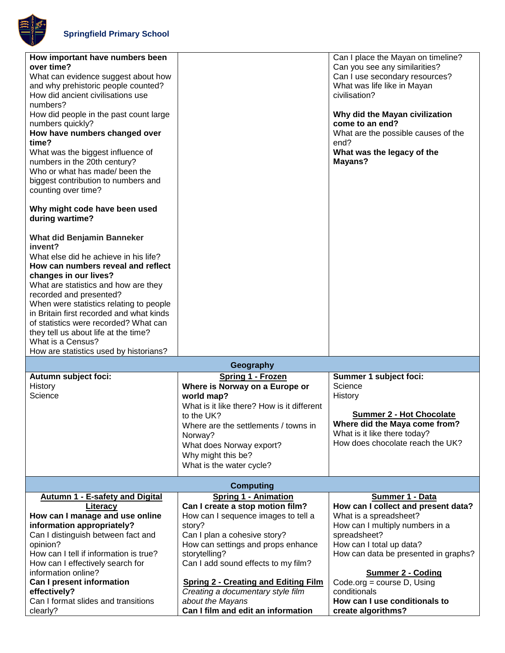

| How important have numbers been<br>over time?<br>What can evidence suggest about how<br>and why prehistoric people counted?<br>How did ancient civilisations use<br>numbers?<br>How did people in the past count large<br>numbers quickly?<br>How have numbers changed over<br>time?<br>What was the biggest influence of<br>numbers in the 20th century?<br>Who or what has made/ been the<br>biggest contribution to numbers and<br>counting over time?<br>Why might code have been used<br>during wartime? |                                                                                                                                                                                                                                                                                               | Can I place the Mayan on timeline?<br>Can you see any similarities?<br>Can I use secondary resources?<br>What was life like in Mayan<br>civilisation?<br>Why did the Mayan civilization<br>come to an end?<br>What are the possible causes of the<br>end?<br>What was the legacy of the<br>Mayans? |
|---------------------------------------------------------------------------------------------------------------------------------------------------------------------------------------------------------------------------------------------------------------------------------------------------------------------------------------------------------------------------------------------------------------------------------------------------------------------------------------------------------------|-----------------------------------------------------------------------------------------------------------------------------------------------------------------------------------------------------------------------------------------------------------------------------------------------|----------------------------------------------------------------------------------------------------------------------------------------------------------------------------------------------------------------------------------------------------------------------------------------------------|
| <b>What did Benjamin Banneker</b><br>invent?<br>What else did he achieve in his life?<br>How can numbers reveal and reflect<br>changes in our lives?<br>What are statistics and how are they<br>recorded and presented?<br>When were statistics relating to people<br>in Britain first recorded and what kinds<br>of statistics were recorded? What can<br>they tell us about life at the time?<br>What is a Census?<br>How are statistics used by historians?                                                |                                                                                                                                                                                                                                                                                               |                                                                                                                                                                                                                                                                                                    |
|                                                                                                                                                                                                                                                                                                                                                                                                                                                                                                               | Geography                                                                                                                                                                                                                                                                                     |                                                                                                                                                                                                                                                                                                    |
| Autumn subject foci:<br>History<br>Science                                                                                                                                                                                                                                                                                                                                                                                                                                                                    | Spring 1 - Frozen<br>Where is Norway on a Europe or<br>world map?<br>What is it like there? How is it different<br>to the UK?<br>Where are the settlements / towns in<br>Norway?<br>What does Norway export?<br>Why might this be?<br>What is the water cycle?                                | Summer 1 subject foci:<br>Science<br>History<br><b>Summer 2 - Hot Chocolate</b><br>Where did the Maya come from?<br>What is it like there today?<br>How does chocolate reach the UK?                                                                                                               |
|                                                                                                                                                                                                                                                                                                                                                                                                                                                                                                               | <b>Computing</b>                                                                                                                                                                                                                                                                              |                                                                                                                                                                                                                                                                                                    |
| Autumn 1 - E-safety and Digital<br>Literacy<br>How can I manage and use online<br>information appropriately?<br>Can I distinguish between fact and<br>opinion?<br>How can I tell if information is true?<br>How can I effectively search for<br>information online?<br>Can I present information                                                                                                                                                                                                              | <b>Spring 1 - Animation</b><br>Can I create a stop motion film?<br>How can I sequence images to tell a<br>story?<br>Can I plan a cohesive story?<br>How can settings and props enhance<br>storytelling?<br>Can I add sound effects to my film?<br><b>Spring 2 - Creating and Editing Film</b> | Summer 1 - Data<br>How can I collect and present data?<br>What is a spreadsheet?<br>How can I multiply numbers in a<br>spreadsheet?<br>How can I total up data?<br>How can data be presented in graphs?<br><b>Summer 2 - Coding</b><br>Code.org = course $D$ , Using                               |
| effectively?<br>Can I format slides and transitions<br>clearly?                                                                                                                                                                                                                                                                                                                                                                                                                                               | Creating a documentary style film<br>about the Mayans<br>Can I film and edit an information                                                                                                                                                                                                   | conditionals<br>How can I use conditionals to<br>create algorithms?                                                                                                                                                                                                                                |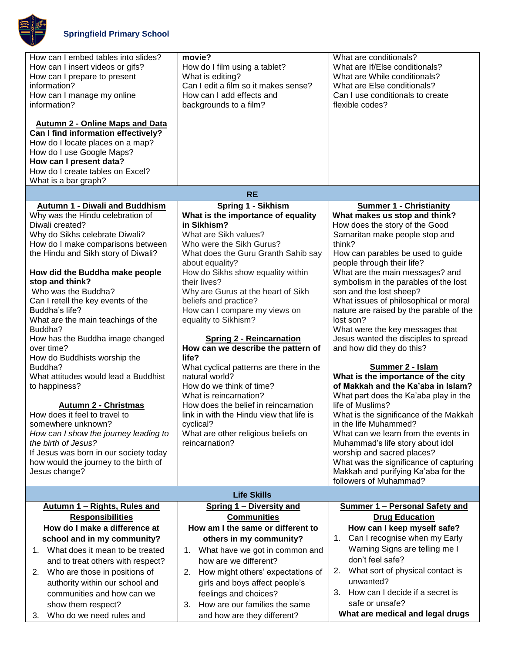

| How can I embed tables into slides?<br>How can I insert videos or gifs?<br>How can I prepare to present<br>information?<br>How can I manage my online<br>information?<br><b>Autumn 2 - Online Maps and Data</b><br>Can I find information effectively?<br>How do I locate places on a map?<br>How do I use Google Maps?<br>How can I present data?<br>How do I create tables on Excel?<br>What is a bar graph?                                                                                                                                                                                                                                                                                                                                                         | movie?<br>How do I film using a tablet?<br>What is editing?<br>Can I edit a film so it makes sense?<br>How can I add effects and<br>backgrounds to a film?                                                                                                                                                                                                                                                                                                                                                                                                                                                                                                                                                   | What are conditionals?<br>What are If/Else conditionals?<br>What are While conditionals?<br>What are Else conditionals?<br>Can I use conditionals to create<br>flexible codes?                                                                                                                                                                                                                                                                                                                                                                                                                                                                                                                                                                                                                                                                                                                                            |
|------------------------------------------------------------------------------------------------------------------------------------------------------------------------------------------------------------------------------------------------------------------------------------------------------------------------------------------------------------------------------------------------------------------------------------------------------------------------------------------------------------------------------------------------------------------------------------------------------------------------------------------------------------------------------------------------------------------------------------------------------------------------|--------------------------------------------------------------------------------------------------------------------------------------------------------------------------------------------------------------------------------------------------------------------------------------------------------------------------------------------------------------------------------------------------------------------------------------------------------------------------------------------------------------------------------------------------------------------------------------------------------------------------------------------------------------------------------------------------------------|---------------------------------------------------------------------------------------------------------------------------------------------------------------------------------------------------------------------------------------------------------------------------------------------------------------------------------------------------------------------------------------------------------------------------------------------------------------------------------------------------------------------------------------------------------------------------------------------------------------------------------------------------------------------------------------------------------------------------------------------------------------------------------------------------------------------------------------------------------------------------------------------------------------------------|
| <b>Autumn 1 - Diwali and Buddhism</b>                                                                                                                                                                                                                                                                                                                                                                                                                                                                                                                                                                                                                                                                                                                                  | <b>RE</b><br><b>Spring 1 - Sikhism</b>                                                                                                                                                                                                                                                                                                                                                                                                                                                                                                                                                                                                                                                                       | <b>Summer 1 - Christianity</b>                                                                                                                                                                                                                                                                                                                                                                                                                                                                                                                                                                                                                                                                                                                                                                                                                                                                                            |
| Why was the Hindu celebration of<br>Diwali created?<br>Why do Sikhs celebrate Diwali?<br>How do I make comparisons between<br>the Hindu and Sikh story of Diwali?<br>How did the Buddha make people<br>stop and think?<br>Who was the Buddha?<br>Can I retell the key events of the<br>Buddha's life?<br>What are the main teachings of the<br>Buddha?<br>How has the Buddha image changed<br>over time?<br>How do Buddhists worship the<br>Buddha?<br>What attitudes would lead a Buddhist<br>to happiness?<br><b>Autumn 2 - Christmas</b><br>How does it feel to travel to<br>somewhere unknown?<br>How can I show the journey leading to<br>the birth of Jesus?<br>If Jesus was born in our society today<br>how would the journey to the birth of<br>Jesus change? | What is the importance of equality<br>in Sikhism?<br>What are Sikh values?<br>Who were the Sikh Gurus?<br>What does the Guru Granth Sahib say<br>about equality?<br>How do Sikhs show equality within<br>their lives?<br>Why are Gurus at the heart of Sikh<br>beliefs and practice?<br>How can I compare my views on<br>equality to Sikhism?<br><b>Spring 2 - Reincarnation</b><br>How can we describe the pattern of<br>life?<br>What cyclical patterns are there in the<br>natural world?<br>How do we think of time?<br>What is reincarnation?<br>How does the belief in reincarnation<br>link in with the Hindu view that life is<br>cyclical?<br>What are other religious beliefs on<br>reincarnation? | What makes us stop and think?<br>How does the story of the Good<br>Samaritan make people stop and<br>think?<br>How can parables be used to guide<br>people through their life?<br>What are the main messages? and<br>symbolism in the parables of the lost<br>son and the lost sheep?<br>What issues of philosophical or moral<br>nature are raised by the parable of the<br>lost son?<br>What were the key messages that<br>Jesus wanted the disciples to spread<br>and how did they do this?<br>Summer 2 - Islam<br>What is the importance of the city<br>of Makkah and the Ka'aba in Islam?<br>What part does the Ka'aba play in the<br>life of Muslims?<br>What is the significance of the Makkah<br>in the life Muhammed?<br>What can we learn from the events in<br>Muhammad's life story about idol<br>worship and sacred places?<br>What was the significance of capturing<br>Makkah and purifying Ka'aba for the |
|                                                                                                                                                                                                                                                                                                                                                                                                                                                                                                                                                                                                                                                                                                                                                                        | <b>Life Skills</b>                                                                                                                                                                                                                                                                                                                                                                                                                                                                                                                                                                                                                                                                                           | followers of Muhammad?                                                                                                                                                                                                                                                                                                                                                                                                                                                                                                                                                                                                                                                                                                                                                                                                                                                                                                    |
| Spring 1 - Diversity and<br>Summer 1 - Personal Safety and<br>Autumn 1 - Rights, Rules and                                                                                                                                                                                                                                                                                                                                                                                                                                                                                                                                                                                                                                                                             |                                                                                                                                                                                                                                                                                                                                                                                                                                                                                                                                                                                                                                                                                                              |                                                                                                                                                                                                                                                                                                                                                                                                                                                                                                                                                                                                                                                                                                                                                                                                                                                                                                                           |
| <b>Responsibilities</b><br>How do I make a difference at<br>school and in my community?                                                                                                                                                                                                                                                                                                                                                                                                                                                                                                                                                                                                                                                                                | <b>Communities</b><br>How am I the same or different to<br>others in my community?                                                                                                                                                                                                                                                                                                                                                                                                                                                                                                                                                                                                                           | <b>Drug Education</b><br>How can I keep myself safe?<br>1. Can I recognise when my Early                                                                                                                                                                                                                                                                                                                                                                                                                                                                                                                                                                                                                                                                                                                                                                                                                                  |
| What does it mean to be treated<br>1.<br>and to treat others with respect?                                                                                                                                                                                                                                                                                                                                                                                                                                                                                                                                                                                                                                                                                             | 1. What have we got in common and<br>how are we different?                                                                                                                                                                                                                                                                                                                                                                                                                                                                                                                                                                                                                                                   | Warning Signs are telling me I<br>don't feel safe?<br>What sort of physical contact is<br>2.                                                                                                                                                                                                                                                                                                                                                                                                                                                                                                                                                                                                                                                                                                                                                                                                                              |
| Who are those in positions of<br>2.<br>authority within our school and<br>communities and how can we<br>show them respect?                                                                                                                                                                                                                                                                                                                                                                                                                                                                                                                                                                                                                                             | How might others' expectations of<br>2.<br>girls and boys affect people's<br>feelings and choices?<br>How are our families the same<br>3.                                                                                                                                                                                                                                                                                                                                                                                                                                                                                                                                                                    | unwanted?<br>3. How can I decide if a secret is<br>safe or unsafe?                                                                                                                                                                                                                                                                                                                                                                                                                                                                                                                                                                                                                                                                                                                                                                                                                                                        |
| Who do we need rules and<br>3.                                                                                                                                                                                                                                                                                                                                                                                                                                                                                                                                                                                                                                                                                                                                         | and how are they different?                                                                                                                                                                                                                                                                                                                                                                                                                                                                                                                                                                                                                                                                                  | What are medical and legal drugs                                                                                                                                                                                                                                                                                                                                                                                                                                                                                                                                                                                                                                                                                                                                                                                                                                                                                          |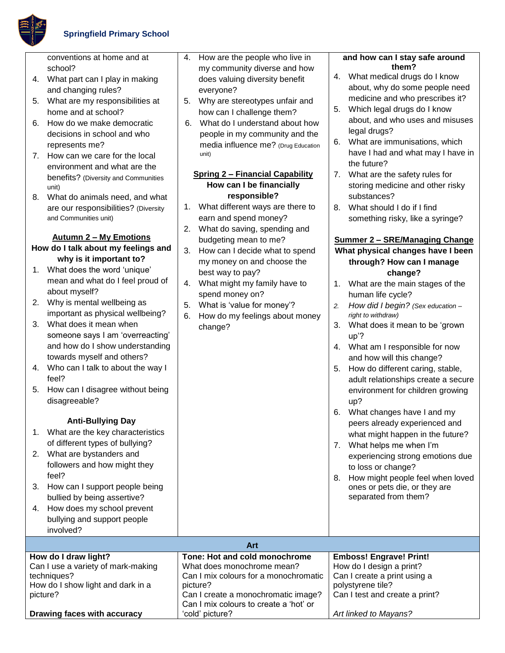

conventions at home and at school?

- 4. What part can I play in making and changing rules?
- 5. What are my responsibilities at home and at school?
- 6. How do we make democratic decisions in school and who represents me?
- 7. How can we care for the local environment and what are the benefits? (Diversity and Communities unit)
- 8. What do animals need, and what are our responsibilities? (Diversity and Communities unit)

# **Autumn 2 – My Emotions**

- **How do I talk about my feelings and why is it important to?**
- 1. What does the word 'unique' mean and what do I feel proud of about myself?
- 2. Why is mental wellbeing as important as physical wellbeing?
- 3. What does it mean when someone says I am 'overreacting' and how do I show understanding towards myself and others?
- 4. Who can I talk to about the way I feel?
- 5. How can I disagree without being disagreeable?

## **Anti-Bullying Day**

- 1. What are the key characteristics of different types of bullying?
- 2. What are bystanders and followers and how might they feel?
- 3. How can I support people being bullied by being assertive?
- 4. How does my school prevent bullying and support people
- 4. How are the people who live in my community diverse and how does valuing diversity benefit everyone?
- 5. Why are stereotypes unfair and how can I challenge them?
- 6. What do I understand about how people in my community and the media influence me? (Drug Education unit)

### **Spring 2 – Financial Capability How can I be financially responsible?**

- 1. What different ways are there to earn and spend money?
- 2. What do saving, spending and budgeting mean to me?
- 3. How can I decide what to spend my money on and choose the best way to pay?
- 4. What might my family have to spend money on?
- 5. What is 'value for money'?
- 6. How do my feelings about money change?

### **and how can I stay safe around them?**

- 4. What medical drugs do I know about, why do some people need medicine and who prescribes it?
- 5. Which legal drugs do I know about, and who uses and misuses legal drugs?
- 6. What are immunisations, which have I had and what may I have in the future?
- 7. What are the safety rules for storing medicine and other risky substances?
- 8. What should I do if I find something risky, like a syringe?

# **Summer 2 – SRE/Managing Change What physical changes have I been through? How can I manage change?**

- 1. What are the main stages of the human life cycle?
- *2. How did I begin? (Sex education – right to withdraw)*
- 3. What does it mean to be 'grown up'?
- 4. What am I responsible for now and how will this change?
- 5. How do different caring, stable, adult relationships create a secure environment for children growing up?
- 6. What changes have I and my peers already experienced and what might happen in the future?
- 7. What helps me when I'm experiencing strong emotions due to loss or change?
- 8. How might people feel when loved ones or pets die, or they are separated from them?

| involved?                          |                                        |                                |
|------------------------------------|----------------------------------------|--------------------------------|
| Art                                |                                        |                                |
| How do I draw light?               | Tone: Hot and cold monochrome          | <b>Emboss! Engrave! Print!</b> |
| Can I use a variety of mark-making | What does monochrome mean?             | How do I design a print?       |
| techniques?                        | Can I mix colours for a monochromatic  | Can I create a print using a   |
| How do I show light and dark in a  | picture?                               | polystyrene tile?              |
| picture?                           | Can I create a monochromatic image?    | Can I test and create a print? |
|                                    | Can I mix colours to create a 'hot' or |                                |
| Drawing faces with accuracy        | 'cold' picture?                        | Art linked to Mayans?          |
|                                    |                                        |                                |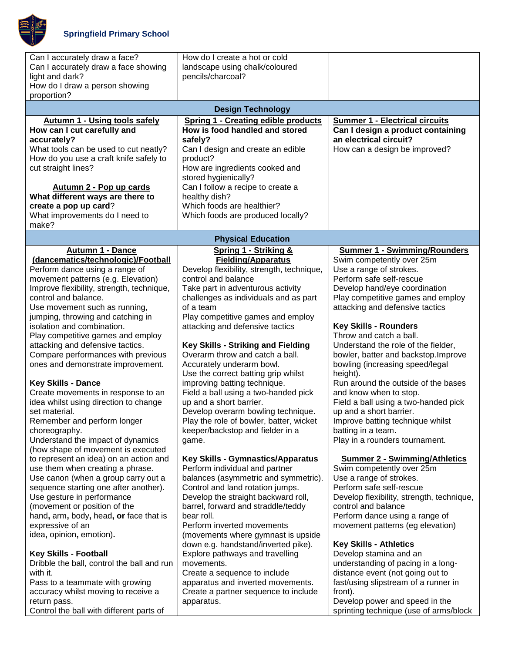

| Can I accurately draw a face?<br>Can I accurately draw a face showing<br>light and dark? | How do I create a hot or cold<br>landscape using chalk/coloured<br>pencils/charcoal? |                                                                  |
|------------------------------------------------------------------------------------------|--------------------------------------------------------------------------------------|------------------------------------------------------------------|
| How do I draw a person showing<br>proportion?                                            |                                                                                      |                                                                  |
|                                                                                          | <b>Design Technology</b>                                                             |                                                                  |
| <b>Autumn 1 - Using tools safely</b>                                                     | <b>Spring 1 - Creating edible products</b>                                           | <b>Summer 1 - Electrical circuits</b>                            |
| How can I cut carefully and                                                              | How is food handled and stored                                                       | Can I design a product containing                                |
| accurately?                                                                              | safely?                                                                              | an electrical circuit?                                           |
| What tools can be used to cut neatly?<br>How do you use a craft knife safely to          | Can I design and create an edible<br>product?                                        | How can a design be improved?                                    |
| cut straight lines?                                                                      | How are ingredients cooked and                                                       |                                                                  |
|                                                                                          | stored hygienically?                                                                 |                                                                  |
| Autumn 2 - Pop up cards                                                                  | Can I follow a recipe to create a                                                    |                                                                  |
| What different ways are there to                                                         | healthy dish?                                                                        |                                                                  |
| create a pop up card?                                                                    | Which foods are healthier?                                                           |                                                                  |
| What improvements do I need to                                                           | Which foods are produced locally?                                                    |                                                                  |
| make?                                                                                    |                                                                                      |                                                                  |
|                                                                                          | <b>Physical Education</b>                                                            |                                                                  |
| <b>Autumn 1 - Dance</b><br>(dancematics/technologic)/Football                            | <b>Spring 1 - Striking &amp;</b><br><b>Fielding/Apparatus</b>                        | <b>Summer 1 - Swimming/Rounders</b><br>Swim competently over 25m |
| Perform dance using a range of                                                           | Develop flexibility, strength, technique,                                            | Use a range of strokes.                                          |
| movement patterns (e.g. Elevation)                                                       | control and balance                                                                  | Perform safe self-rescue                                         |
| Improve flexibility, strength, technique,                                                | Take part in adventurous activity                                                    | Develop hand/eye coordination                                    |
| control and balance.                                                                     | challenges as individuals and as part                                                | Play competitive games and employ                                |
| Use movement such as running,                                                            | of a team                                                                            | attacking and defensive tactics                                  |
| jumping, throwing and catching in<br>isolation and combination.                          | Play competitive games and employ                                                    | <b>Key Skills - Rounders</b>                                     |
| Play competitive games and employ                                                        | attacking and defensive tactics                                                      | Throw and catch a ball.                                          |
| attacking and defensive tactics.                                                         | <b>Key Skills - Striking and Fielding</b>                                            | Understand the role of the fielder,                              |
| Compare performances with previous                                                       | Overarm throw and catch a ball.                                                      | bowler, batter and backstop. Improve                             |
| ones and demonstrate improvement.                                                        | Accurately underarm bowl.                                                            | bowling (increasing speed/legal                                  |
|                                                                                          | Use the correct batting grip whilst                                                  | height).                                                         |
| <b>Key Skills - Dance</b>                                                                | improving batting technique.                                                         | Run around the outside of the bases                              |
| Create movements in response to an                                                       | Field a ball using a two-handed pick                                                 | and know when to stop.<br>Field a ball using a two-handed pick   |
| idea whilst using direction to change<br>set material.                                   | up and a short barrier.<br>Develop overarm bowling technique.                        | up and a short barrier.                                          |
| Remember and perform longer                                                              | Play the role of bowler, batter, wicket                                              | Improve batting technique whilst                                 |
| choreography.                                                                            | keeper/backstop and fielder in a                                                     | batting in a team.                                               |
| Understand the impact of dynamics                                                        | game.                                                                                | Play in a rounders tournament.                                   |
| (how shape of movement is executed                                                       |                                                                                      |                                                                  |
| to represent an idea) on an action and                                                   | <b>Key Skills - Gymnastics/Apparatus</b>                                             | <b>Summer 2 - Swimming/Athletics</b>                             |
| use them when creating a phrase.<br>Use canon (when a group carry out a                  | Perform individual and partner<br>balances (asymmetric and symmetric).               | Swim competently over 25m<br>Use a range of strokes.             |
| sequence starting one after another).                                                    | Control and land rotation jumps.                                                     | Perform safe self-rescue                                         |
| Use gesture in performance                                                               | Develop the straight backward roll,                                                  | Develop flexibility, strength, technique,                        |
| (movement or position of the                                                             | barrel, forward and straddle/teddy                                                   | control and balance                                              |
| hand, arm, body, head, or face that is                                                   | bear roll.                                                                           | Perform dance using a range of                                   |
| expressive of an                                                                         | Perform inverted movements                                                           | movement patterns (eg elevation)                                 |
| idea, opinion, emotion).                                                                 | (movements where gymnast is upside                                                   |                                                                  |
| <b>Key Skills - Football</b>                                                             | down e.g. handstand/inverted pike).<br>Explore pathways and travelling               | <b>Key Skills - Athletics</b><br>Develop stamina and an          |
| Dribble the ball, control the ball and run                                               | movements.                                                                           | understanding of pacing in a long-                               |
| with it.                                                                                 | Create a sequence to include                                                         | distance event (not going out to                                 |
| Pass to a teammate with growing                                                          | apparatus and inverted movements.                                                    | fast/using slipstream of a runner in                             |
| accuracy whilst moving to receive a                                                      | Create a partner sequence to include                                                 | front).                                                          |
| return pass.                                                                             | apparatus.                                                                           | Develop power and speed in the                                   |
| Control the ball with different parts of                                                 |                                                                                      | sprinting technique (use of arms/block                           |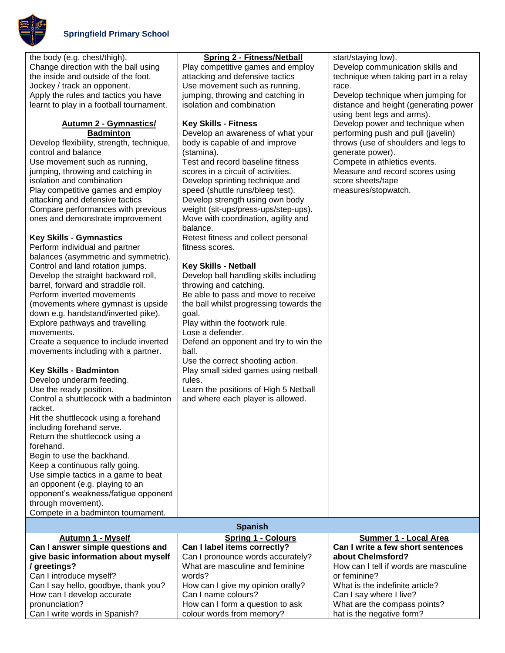

### **Autumn 2 - Gymnastics/ Badminton**

Develop flexibility, strength, technique, control and balance Use movement such as running, jumping, throwing and catching in isolation and combination Play competitive games and employ attacking and defensive tactics Compare performances with previous ones and demonstrate improvement

## **Key Skills - Gymnastics**

| Perform individual and partner       | fit |
|--------------------------------------|-----|
| balances (asymmetric and symmetric). |     |
| Control and land rotation jumps.     | κ   |
| Develop the straight backward roll,  | D   |
| barrel, forward and straddle roll.   | th  |
| Perform inverted movements           | в   |
| (movements where gymnast is upside   | th  |
| down e.g. handstand/inverted pike).  | g١  |
| Explore pathways and travelling      |     |
| movements.                           |     |
|                                      |     |

Create a sequence to include inverted movements including with a partner.

# **Key Skills - Badminton**

Develop underarm feeding. Use the ready position. Control a shuttlecock with a badminton racket. Hit the shuttlecock using a forehand including forehand serve.

Return the shuttlecock using a forehand. Begin to use the backhand. Keep a continuous rally going. Use simple tactics in a game to beat an opponent (e.g. playing to an opponent's weakness/fatigue opponent through movement).

Compete in a badminton tournament.

| Spring 2 - Fitness/Netball        |
|-----------------------------------|
| Play competitive games and employ |
| attacking and defensive tactics   |
| Use movement such as running,     |
| jumping, throwing and catching in |
| isolation and combination         |

## **Key Skills - Fitness**

Develop an awareness of what your body is capable of and improve (stamina). Test and record baseline fitness scores in a circuit of activities. Develop sprinting technique and speed (shuttle runs/bleep test). Develop strength using own body weight (sit-ups/press-ups/step-ups). Move with coordination, agility and

balance.

Retest fitness and collect personal tness scores.

### **Key Skills - Netball**

evelop ball handling skills including rowing and catching. e able to pass and move to receive

e ball whilst progressing towards the oal.

lay within the footwork rule. Lose a defender.

Defend an opponent and try to win the ball.

Use the correct shooting action.

Play small sided games using netball rules.

Learn the positions of High 5 Netball and where each player is allowed.

start/staying low). Develop communication skills and technique when taking part in a relay race. Develop technique when jumping for distance and height (generating power using bent legs and arms). Develop power and technique when performing push and pull (javelin) throws (use of shoulders and legs to generate power).

Compete in athletics events. Measure and record scores using score sheets/tape measures/stopwatch.

|  |  | <b>Spanish</b> |
|--|--|----------------|
|--|--|----------------|

| <b>Autumn 1 - Myself</b>             | <b>Spring 1 - Colours</b>         | Summer 1 - Local Area                 |
|--------------------------------------|-----------------------------------|---------------------------------------|
| Can I answer simple questions and    | Can I label items correctly?      | Can I write a few short sentences     |
| give basic information about myself  | Can I pronounce words accurately? | about Chelmsford?                     |
| / greetings?                         | What are masculine and feminine   | How can I tell if words are masculine |
| Can I introduce myself?              | words?                            | or feminine?                          |
| Can I say hello, goodbye, thank you? | How can I give my opinion orally? | What is the indefinite article?       |
| How can I develop accurate           | Can I name colours?               | Can I say where I live?               |
| pronunciation?                       | How can I form a question to ask  | What are the compass points?          |
| Can I write words in Spanish?        | colour words from memory?         | hat is the negative form?             |